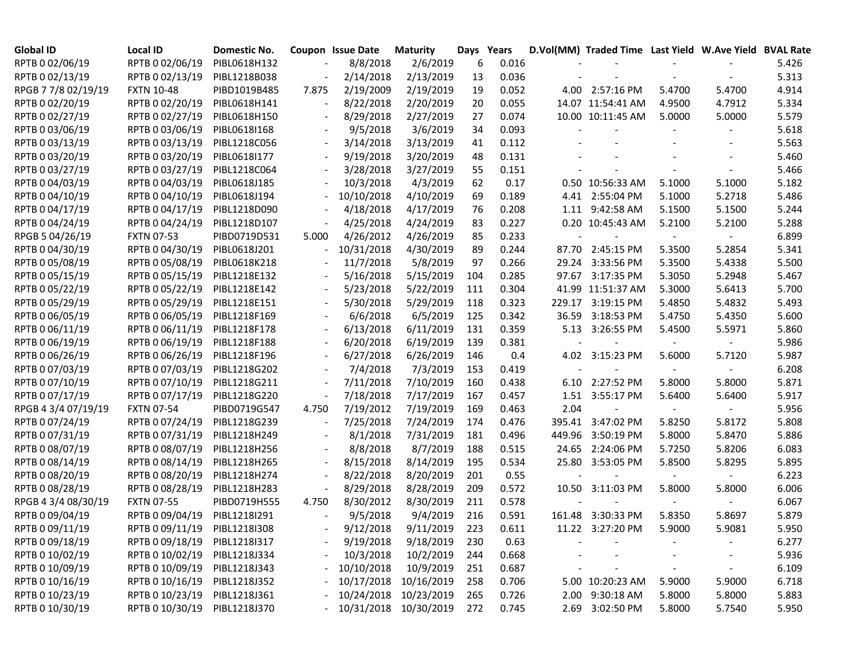| <b>Global ID</b>    | <b>Local ID</b>   | Domestic No. |                          | <b>Coupon Issue Date</b> | <b>Maturity</b> | Days | Years |                          | D.Vol(MM) Traded Time Last Yield W.Ave Yield BVAL Rate |                          |                          |       |
|---------------------|-------------------|--------------|--------------------------|--------------------------|-----------------|------|-------|--------------------------|--------------------------------------------------------|--------------------------|--------------------------|-------|
| RPTB 0 02/06/19     | RPTB 0 02/06/19   | PIBL0618H132 |                          | 8/8/2018                 | 2/6/2019        | 6    | 0.016 |                          |                                                        |                          |                          | 5.426 |
| RPTB 0 02/13/19     | RPTB 0 02/13/19   | PIBL1218B038 |                          | 2/14/2018                | 2/13/2019       | 13   | 0.036 |                          |                                                        |                          |                          | 5.313 |
| RPGB 7 7/8 02/19/19 | <b>FXTN 10-48</b> | PIBD1019B485 | 7.875                    | 2/19/2009                | 2/19/2019       | 19   | 0.052 |                          | 4.00 2:57:16 PM                                        | 5.4700                   | 5.4700                   | 4.914 |
| RPTB 0 02/20/19     | RPTB 0 02/20/19   | PIBL0618H141 |                          | 8/22/2018                | 2/20/2019       | 20   | 0.055 |                          | 14.07 11:54:41 AM                                      | 4.9500                   | 4.7912                   | 5.334 |
| RPTB 0 02/27/19     | RPTB 0 02/27/19   | PIBL0618H150 |                          | 8/29/2018                | 2/27/2019       | 27   | 0.074 |                          | 10.00 10:11:45 AM                                      | 5.0000                   | 5.0000                   | 5.579 |
| RPTB 0 03/06/19     | RPTB 0 03/06/19   | PIBL0618I168 |                          | 9/5/2018                 | 3/6/2019        | 34   | 0.093 |                          |                                                        |                          |                          | 5.618 |
| RPTB 0 03/13/19     | RPTB 0 03/13/19   | PIBL1218C056 |                          | 3/14/2018                | 3/13/2019       | 41   | 0.112 |                          |                                                        |                          |                          | 5.563 |
| RPTB 0 03/20/19     | RPTB 0 03/20/19   | PIBL0618I177 | $\overline{\phantom{a}}$ | 9/19/2018                | 3/20/2019       | 48   | 0.131 |                          |                                                        |                          |                          | 5.460 |
| RPTB 0 03/27/19     | RPTB 0 03/27/19   | PIBL1218C064 | $\overline{\phantom{a}}$ | 3/28/2018                | 3/27/2019       | 55   | 0.151 |                          |                                                        |                          | $\overline{\phantom{a}}$ | 5.466 |
| RPTB 0 04/03/19     | RPTB 0 04/03/19   | PIBL0618J185 | $\overline{\phantom{a}}$ | 10/3/2018                | 4/3/2019        | 62   | 0.17  |                          | 0.50 10:56:33 AM                                       | 5.1000                   | 5.1000                   | 5.182 |
| RPTB 0 04/10/19     | RPTB 0 04/10/19   | PIBL0618J194 | $\overline{\phantom{a}}$ | 10/10/2018               | 4/10/2019       | 69   | 0.189 |                          | 4.41 2:55:04 PM                                        | 5.1000                   | 5.2718                   | 5.486 |
| RPTB 0 04/17/19     | RPTB 0 04/17/19   | PIBL1218D090 |                          | 4/18/2018                | 4/17/2019       | 76   | 0.208 |                          | 1.11 9:42:58 AM                                        | 5.1500                   | 5.1500                   | 5.244 |
| RPTB 0 04/24/19     | RPTB 0 04/24/19   | PIBL1218D107 |                          | 4/25/2018                | 4/24/2019       | 83   | 0.227 |                          | 0.20 10:45:43 AM                                       | 5.2100                   | 5.2100                   | 5.288 |
| RPGB 5 04/26/19     | <b>FXTN 07-53</b> | PIBD0719D531 | 5.000                    | 4/26/2012                | 4/26/2019       | 85   | 0.233 |                          |                                                        | $\blacksquare$           | $\blacksquare$           | 6.899 |
| RPTB 0 04/30/19     | RPTB 0 04/30/19   | PIBL0618J201 |                          | 10/31/2018               | 4/30/2019       | 89   | 0.244 |                          | 87.70 2:45:15 PM                                       | 5.3500                   | 5.2854                   | 5.341 |
| RPTB 0 05/08/19     | RPTB 0 05/08/19   | PIBL0618K218 |                          | 11/7/2018                | 5/8/2019        | 97   | 0.266 |                          | 29.24 3:33:56 PM                                       | 5.3500                   | 5.4338                   | 5.500 |
| RPTB 0 05/15/19     | RPTB 0 05/15/19   | PIBL1218E132 |                          | 5/16/2018                | 5/15/2019       | 104  | 0.285 |                          | 97.67 3:17:35 PM                                       | 5.3050                   | 5.2948                   | 5.467 |
| RPTB 0 05/22/19     | RPTB 0 05/22/19   | PIBL1218E142 |                          | 5/23/2018                | 5/22/2019       | 111  | 0.304 |                          | 41.99 11:51:37 AM                                      | 5.3000                   | 5.6413                   | 5.700 |
| RPTB 0 05/29/19     | RPTB 0 05/29/19   | PIBL1218E151 |                          | 5/30/2018                | 5/29/2019       | 118  | 0.323 |                          | 229.17 3:19:15 PM                                      | 5.4850                   | 5.4832                   | 5.493 |
| RPTB 0 06/05/19     | RPTB 0 06/05/19   | PIBL1218F169 |                          | 6/6/2018                 | 6/5/2019        | 125  | 0.342 |                          | 36.59 3:18:53 PM                                       | 5.4750                   | 5.4350                   | 5.600 |
| RPTB 0 06/11/19     | RPTB 0 06/11/19   | PIBL1218F178 |                          | 6/13/2018                | 6/11/2019       | 131  | 0.359 |                          | 5.13 3:26:55 PM                                        | 5.4500                   | 5.5971                   | 5.860 |
| RPTB 0 06/19/19     | RPTB 0 06/19/19   | PIBL1218F188 |                          | 6/20/2018                | 6/19/2019       | 139  | 0.381 | $\overline{\phantom{a}}$ | $\blacksquare$                                         | $\blacksquare$           | $\sim$                   | 5.986 |
| RPTB 0 06/26/19     | RPTB 0 06/26/19   | PIBL1218F196 |                          | 6/27/2018                | 6/26/2019       | 146  | 0.4   |                          | 4.02 3:15:23 PM                                        | 5.6000                   | 5.7120                   | 5.987 |
| RPTB 0 07/03/19     | RPTB 0 07/03/19   | PIBL1218G202 |                          | 7/4/2018                 | 7/3/2019        | 153  | 0.419 | $\blacksquare$           | $\blacksquare$                                         | $\overline{\phantom{a}}$ | $\sim$                   | 6.208 |
| RPTB 0 07/10/19     | RPTB 0 07/10/19   | PIBL1218G211 |                          | 7/11/2018                | 7/10/2019       | 160  | 0.438 |                          | 6.10 2:27:52 PM                                        | 5.8000                   | 5.8000                   | 5.871 |
| RPTB 0 07/17/19     | RPTB 0 07/17/19   | PIBL1218G220 |                          | 7/18/2018                | 7/17/2019       | 167  | 0.457 |                          | 1.51 3:55:17 PM                                        | 5.6400                   | 5.6400                   | 5.917 |
| RPGB 4 3/4 07/19/19 | <b>FXTN 07-54</b> | PIBD0719G547 | 4.750                    | 7/19/2012                | 7/19/2019       | 169  | 0.463 | 2.04                     |                                                        |                          | $\sim$                   | 5.956 |
| RPTB 0 07/24/19     | RPTB 0 07/24/19   | PIBL1218G239 |                          | 7/25/2018                | 7/24/2019       | 174  | 0.476 | 395.41                   | 3:47:02 PM                                             | 5.8250                   | 5.8172                   | 5.808 |
| RPTB 0 07/31/19     | RPTB 0 07/31/19   | PIBL1218H249 |                          | 8/1/2018                 | 7/31/2019       | 181  | 0.496 | 449.96                   | 3:50:19 PM                                             | 5.8000                   | 5.8470                   | 5.886 |
| RPTB 0 08/07/19     | RPTB 0 08/07/19   | PIBL1218H256 |                          | 8/8/2018                 | 8/7/2019        | 188  | 0.515 |                          | 24.65 2:24:06 PM                                       | 5.7250                   | 5.8206                   | 6.083 |
| RPTB 0 08/14/19     | RPTB 0 08/14/19   | PIBL1218H265 | $\overline{\phantom{a}}$ | 8/15/2018                | 8/14/2019       | 195  | 0.534 |                          | 25.80 3:53:05 PM                                       | 5.8500                   | 5.8295                   | 5.895 |
| RPTB 0 08/20/19     | RPTB 0 08/20/19   | PIBL1218H274 |                          | 8/22/2018                | 8/20/2019       | 201  | 0.55  |                          |                                                        |                          |                          | 6.223 |
| RPTB 0 08/28/19     | RPTB 0 08/28/19   | PIBL1218H283 | $\overline{\phantom{a}}$ | 8/29/2018                | 8/28/2019       | 209  | 0.572 |                          | 10.50 3:11:03 PM                                       | 5.8000                   | 5.8000                   | 6.006 |
| RPGB 4 3/4 08/30/19 | <b>FXTN 07-55</b> | PIBD0719H555 | 4.750                    | 8/30/2012                | 8/30/2019       | 211  | 0.578 |                          |                                                        |                          | $\sim$                   | 6.067 |
| RPTB 0 09/04/19     | RPTB 0 09/04/19   | PIBL1218I291 | $\overline{\phantom{a}}$ | 9/5/2018                 | 9/4/2019        | 216  | 0.591 |                          | 161.48 3:30:33 PM                                      | 5.8350                   | 5.8697                   | 5.879 |
| RPTB 0 09/11/19     | RPTB 0 09/11/19   | PIBL12181308 |                          | 9/12/2018                | 9/11/2019       | 223  | 0.611 |                          | 11.22 3:27:20 PM                                       | 5.9000                   | 5.9081                   | 5.950 |
| RPTB 0 09/18/19     | RPTB 0 09/18/19   | PIBL1218I317 |                          | 9/19/2018                | 9/18/2019       | 230  | 0.63  |                          |                                                        |                          | $\overline{\phantom{a}}$ | 6.277 |
| RPTB 0 10/02/19     | RPTB 0 10/02/19   | PIBL1218J334 |                          | 10/3/2018                | 10/2/2019       | 244  | 0.668 |                          |                                                        |                          | $\overline{\phantom{a}}$ | 5.936 |
| RPTB 0 10/09/19     | RPTB 0 10/09/19   | PIBL1218J343 |                          | 10/10/2018               | 10/9/2019       | 251  | 0.687 |                          |                                                        |                          |                          | 6.109 |
| RPTB 0 10/16/19     | RPTB 0 10/16/19   | PIBL1218J352 |                          | 10/17/2018               | 10/16/2019      | 258  | 0.706 |                          | 5.00 10:20:23 AM                                       | 5.9000                   | 5.9000                   | 6.718 |
| RPTB 0 10/23/19     | RPTB 0 10/23/19   | PIBL1218J361 |                          | 10/24/2018               | 10/23/2019      | 265  | 0.726 |                          | 2.00 9:30:18 AM                                        | 5.8000                   | 5.8000                   | 5.883 |
| RPTB 0 10/30/19     | RPTB 0 10/30/19   | PIBL1218J370 |                          | 10/31/2018               | 10/30/2019      | 272  | 0.745 |                          | 2.69 3:02:50 PM                                        | 5.8000                   | 5.7540                   | 5.950 |
|                     |                   |              |                          |                          |                 |      |       |                          |                                                        |                          |                          |       |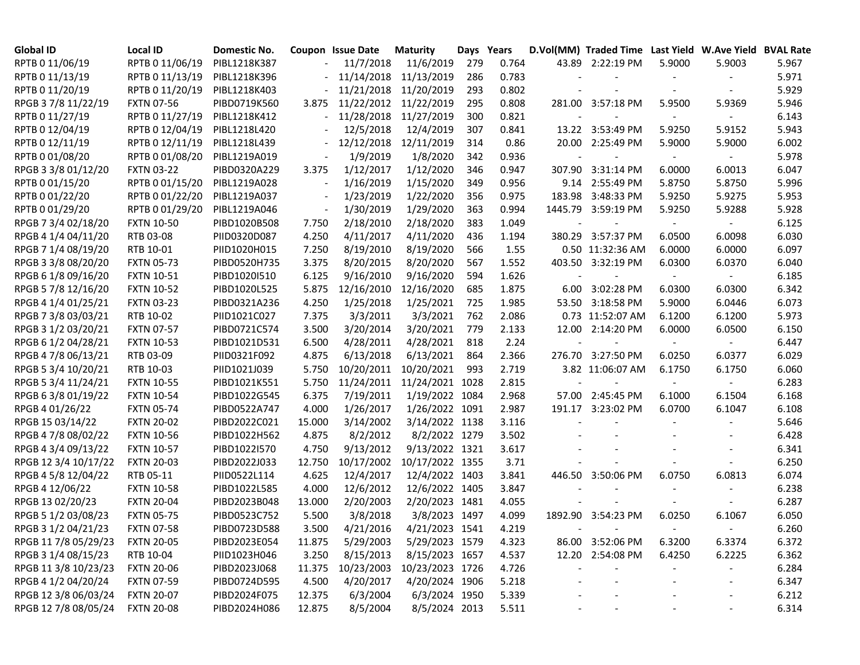| Global ID            | Local ID          | Domestic No. |                          | Coupon Issue Date | <b>Maturity</b> | Days Years |       | D.Vol(MM) Traded Time Last Yield W.Ave Yield BVAL Rate |        |                          |       |
|----------------------|-------------------|--------------|--------------------------|-------------------|-----------------|------------|-------|--------------------------------------------------------|--------|--------------------------|-------|
| RPTB 0 11/06/19      | RPTB 0 11/06/19   | PIBL1218K387 |                          | 11/7/2018         | 11/6/2019       | 279        | 0.764 | 43.89 2:22:19 PM                                       | 5.9000 | 5.9003                   | 5.967 |
| RPTB 0 11/13/19      | RPTB 0 11/13/19   | PIBL1218K396 |                          | 11/14/2018        | 11/13/2019      | 286        | 0.783 |                                                        |        |                          | 5.971 |
| RPTB 0 11/20/19      | RPTB 0 11/20/19   | PIBL1218K403 |                          | 11/21/2018        | 11/20/2019      | 293        | 0.802 |                                                        |        |                          | 5.929 |
| RPGB 37/8 11/22/19   | <b>FXTN 07-56</b> | PIBD0719K560 | 3.875                    | 11/22/2012        | 11/22/2019      | 295        | 0.808 | 281.00 3:57:18 PM                                      | 5.9500 | 5.9369                   | 5.946 |
| RPTB 0 11/27/19      | RPTB 0 11/27/19   | PIBL1218K412 |                          | 11/28/2018        | 11/27/2019      | 300        | 0.821 |                                                        |        | $\sim$                   | 6.143 |
| RPTB 0 12/04/19      | RPTB 0 12/04/19   | PIBL1218L420 |                          | 12/5/2018         | 12/4/2019       | 307        | 0.841 | 13.22 3:53:49 PM                                       | 5.9250 | 5.9152                   | 5.943 |
| RPTB 0 12/11/19      | RPTB 0 12/11/19   | PIBL1218L439 |                          | 12/12/2018        | 12/11/2019      | 314        | 0.86  | 20.00 2:25:49 PM                                       | 5.9000 | 5.9000                   | 6.002 |
| RPTB 0 01/08/20      | RPTB 0 01/08/20   | PIBL1219A019 |                          | 1/9/2019          | 1/8/2020        | 342        | 0.936 |                                                        |        |                          | 5.978 |
| RPGB 3 3/8 01/12/20  | <b>FXTN 03-22</b> | PIBD0320A229 | 3.375                    | 1/12/2017         | 1/12/2020       | 346        | 0.947 | 307.90 3:31:14 PM                                      | 6.0000 | 6.0013                   | 6.047 |
| RPTB 0 01/15/20      | RPTB 0 01/15/20   | PIBL1219A028 | $\overline{\phantom{a}}$ | 1/16/2019         | 1/15/2020       | 349        | 0.956 | 9.14 2:55:49 PM                                        | 5.8750 | 5.8750                   | 5.996 |
| RPTB 0 01/22/20      | RPTB 0 01/22/20   | PIBL1219A037 | $\overline{\phantom{a}}$ | 1/23/2019         | 1/22/2020       | 356        | 0.975 | 183.98 3:48:33 PM                                      | 5.9250 | 5.9275                   | 5.953 |
| RPTB 0 01/29/20      | RPTB 0 01/29/20   | PIBL1219A046 | $\overline{a}$           | 1/30/2019         | 1/29/2020       | 363        | 0.994 | 1445.79 3:59:19 PM                                     | 5.9250 | 5.9288                   | 5.928 |
| RPGB 7 3/4 02/18/20  | <b>FXTN 10-50</b> | PIBD1020B508 | 7.750                    | 2/18/2010         | 2/18/2020       | 383        | 1.049 |                                                        |        |                          | 6.125 |
| RPGB 4 1/4 04/11/20  | RTB 03-08         | PIID0320D087 | 4.250                    | 4/11/2017         | 4/11/2020       | 436        | 1.194 | 380.29 3:57:37 PM                                      | 6.0500 | 6.0098                   | 6.030 |
| RPGB 7 1/4 08/19/20  | RTB 10-01         | PIID1020H015 | 7.250                    | 8/19/2010         | 8/19/2020       | 566        | 1.55  | 0.50 11:32:36 AM                                       | 6.0000 | 6.0000                   | 6.097 |
| RPGB 3 3/8 08/20/20  | <b>FXTN 05-73</b> | PIBD0520H735 | 3.375                    | 8/20/2015         | 8/20/2020       | 567        | 1.552 | 403.50 3:32:19 PM                                      | 6.0300 | 6.0370                   | 6.040 |
| RPGB 6 1/8 09/16/20  | <b>FXTN 10-51</b> | PIBD1020I510 | 6.125                    | 9/16/2010         | 9/16/2020       | 594        | 1.626 |                                                        |        | $\sim$                   | 6.185 |
| RPGB 5 7/8 12/16/20  | <b>FXTN 10-52</b> | PIBD1020L525 | 5.875                    | 12/16/2010        | 12/16/2020      | 685        | 1.875 | 6.00 3:02:28 PM                                        | 6.0300 | 6.0300                   | 6.342 |
| RPGB 4 1/4 01/25/21  | <b>FXTN 03-23</b> | PIBD0321A236 | 4.250                    | 1/25/2018         | 1/25/2021       | 725        | 1.985 | 53.50 3:18:58 PM                                       | 5.9000 | 6.0446                   | 6.073 |
| RPGB 7 3/8 03/03/21  | RTB 10-02         | PIID1021C027 | 7.375                    | 3/3/2011          | 3/3/2021        | 762        | 2.086 | 0.73 11:52:07 AM                                       | 6.1200 | 6.1200                   | 5.973 |
| RPGB 3 1/2 03/20/21  | <b>FXTN 07-57</b> | PIBD0721C574 | 3.500                    | 3/20/2014         | 3/20/2021       | 779        | 2.133 | 12.00 2:14:20 PM                                       | 6.0000 | 6.0500                   | 6.150 |
| RPGB 6 1/2 04/28/21  | <b>FXTN 10-53</b> | PIBD1021D531 | 6.500                    | 4/28/2011         | 4/28/2021       | 818        | 2.24  |                                                        | $\sim$ | $\sim$                   | 6.447 |
| RPGB 4 7/8 06/13/21  | RTB 03-09         | PIID0321F092 | 4.875                    | 6/13/2018         | 6/13/2021       | 864        | 2.366 | 276.70 3:27:50 PM                                      | 6.0250 | 6.0377                   | 6.029 |
| RPGB 5 3/4 10/20/21  | RTB 10-03         | PIID1021J039 | 5.750                    | 10/20/2011        | 10/20/2021      | 993        | 2.719 | 3.82 11:06:07 AM                                       | 6.1750 | 6.1750                   | 6.060 |
| RPGB 5 3/4 11/24/21  | <b>FXTN 10-55</b> | PIBD1021K551 | 5.750                    | 11/24/2011        | 11/24/2021 1028 |            | 2.815 |                                                        |        | $\overline{\phantom{a}}$ | 6.283 |
| RPGB 63/8 01/19/22   | <b>FXTN 10-54</b> | PIBD1022G545 | 6.375                    | 7/19/2011         | 1/19/2022 1084  |            | 2.968 | 57.00 2:45:45 PM                                       | 6.1000 | 6.1504                   | 6.168 |
| RPGB 4 01/26/22      | <b>FXTN 05-74</b> | PIBD0522A747 | 4.000                    | 1/26/2017         | 1/26/2022 1091  |            | 2.987 | 191.17 3:23:02 PM                                      | 6.0700 | 6.1047                   | 6.108 |
| RPGB 15 03/14/22     | <b>FXTN 20-02</b> | PIBD2022C021 | 15.000                   | 3/14/2002         | 3/14/2022 1138  |            | 3.116 |                                                        |        |                          | 5.646 |
| RPGB 4 7/8 08/02/22  | <b>FXTN 10-56</b> | PIBD1022H562 | 4.875                    | 8/2/2012          | 8/2/2022 1279   |            | 3.502 |                                                        |        |                          | 6.428 |
| RPGB 4 3/4 09/13/22  | <b>FXTN 10-57</b> | PIBD1022I570 | 4.750                    | 9/13/2012         | 9/13/2022 1321  |            | 3.617 |                                                        |        |                          | 6.341 |
| RPGB 12 3/4 10/17/22 | <b>FXTN 20-03</b> | PIBD2022J033 | 12.750                   | 10/17/2002        | 10/17/2022 1355 |            | 3.71  |                                                        |        |                          | 6.250 |
| RPGB 4 5/8 12/04/22  | RTB 05-11         | PIID0522L114 | 4.625                    | 12/4/2017         | 12/4/2022 1403  |            | 3.841 | 446.50 3:50:06 PM                                      | 6.0750 | 6.0813                   | 6.074 |
| RPGB 4 12/06/22      | <b>FXTN 10-58</b> | PIBD1022L585 | 4.000                    | 12/6/2012         | 12/6/2022 1405  |            | 3.847 |                                                        |        |                          | 6.238 |
| RPGB 13 02/20/23     | <b>FXTN 20-04</b> | PIBD2023B048 | 13.000                   | 2/20/2003         | 2/20/2023 1481  |            | 4.055 |                                                        |        |                          | 6.287 |
| RPGB 5 1/2 03/08/23  | <b>FXTN 05-75</b> | PIBD0523C752 | 5.500                    | 3/8/2018          | 3/8/2023 1497   |            | 4.099 | 1892.90 3:54:23 PM                                     | 6.0250 | 6.1067                   | 6.050 |
| RPGB 3 1/2 04/21/23  | <b>FXTN 07-58</b> | PIBD0723D588 | 3.500                    | 4/21/2016         | 4/21/2023 1541  |            | 4.219 |                                                        |        |                          | 6.260 |
| RPGB 11 7/8 05/29/23 | <b>FXTN 20-05</b> | PIBD2023E054 | 11.875                   | 5/29/2003         | 5/29/2023 1579  |            | 4.323 | 86.00 3:52:06 PM                                       | 6.3200 | 6.3374                   | 6.372 |
| RPGB 3 1/4 08/15/23  | RTB 10-04         | PIID1023H046 | 3.250                    | 8/15/2013         | 8/15/2023 1657  |            | 4.537 | 12.20 2:54:08 PM                                       | 6.4250 | 6.2225                   | 6.362 |
| RPGB 11 3/8 10/23/23 | <b>FXTN 20-06</b> | PIBD2023J068 | 11.375                   | 10/23/2003        | 10/23/2023 1726 |            | 4.726 |                                                        |        | $\overline{\phantom{a}}$ | 6.284 |
| RPGB 4 1/2 04/20/24  | <b>FXTN 07-59</b> | PIBD0724D595 | 4.500                    | 4/20/2017         | 4/20/2024 1906  |            | 5.218 |                                                        |        | $\overline{\phantom{a}}$ | 6.347 |
| RPGB 12 3/8 06/03/24 | <b>FXTN 20-07</b> | PIBD2024F075 | 12.375                   | 6/3/2004          | 6/3/2024 1950   |            | 5.339 |                                                        |        | $\blacksquare$           | 6.212 |
| RPGB 12 7/8 08/05/24 | <b>FXTN 20-08</b> | PIBD2024H086 | 12.875                   | 8/5/2004          | 8/5/2024 2013   |            | 5.511 |                                                        |        | $\blacksquare$           | 6.314 |